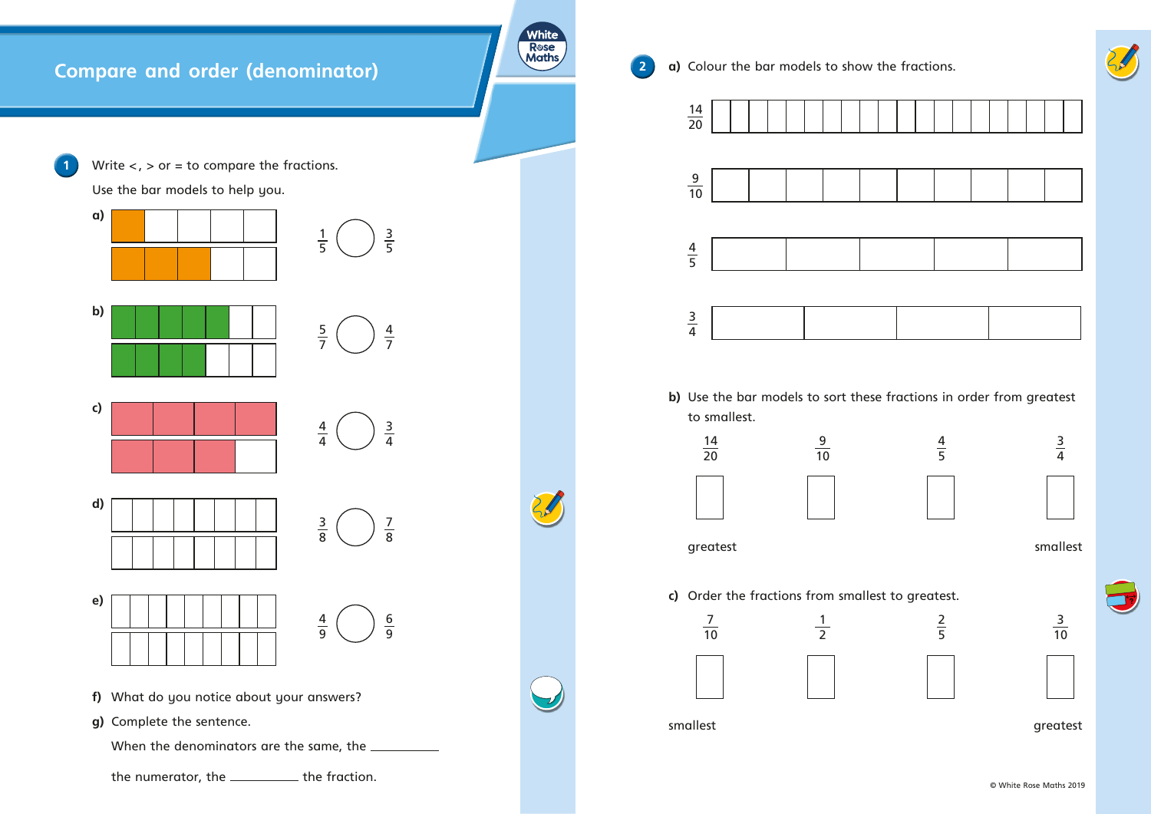